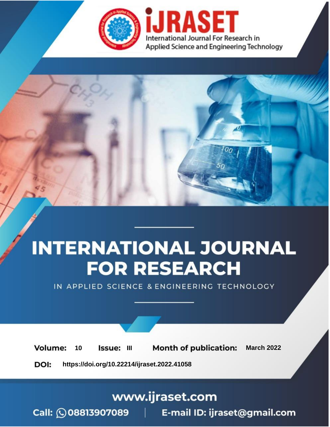

# **INTERNATIONAL JOURNAL FOR RESEARCH**

IN APPLIED SCIENCE & ENGINEERING TECHNOLOGY

10 **Issue: III Month of publication:** March 2022 **Volume:** 

**https://doi.org/10.22214/ijraset.2022.41058**DOI:

www.ijraset.com

Call: 008813907089 | E-mail ID: ijraset@gmail.com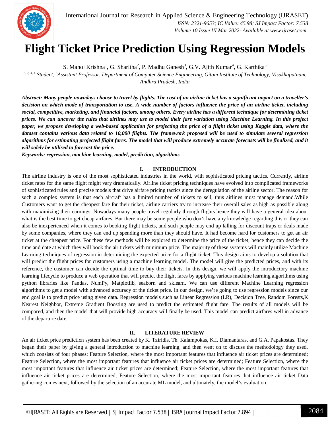

### **Flight Ticket Price Prediction Using Regression Models**

S. Manoj Krishna<sup>1</sup>, G. Sharitha<sup>2</sup>, P. Madhu Ganesh<sup>3</sup>, G.V. Ajith Kumar<sup>4</sup>, G. Karthika<sup>5</sup>

*1, 2, 3, 4 Student,* <sup>5</sup>*Assistant Professor, Department of Computer Science Engineering, Gitam Institute of Technology, Visakhapatnam, Andhra Pradesh, India*

*Abstract: Many people nowadays choose to travel by flights. The cost of an airline ticket has a significant impact on a traveller's decision on which mode of transportation to use. A wide number of factors influence the price of an airline ticket, including social, competitive, marketing, and financial factors, among others. Every airline has a different technique for determining ticket prices. We can uncover the rules that airlines may use to model their fare variation using Machine Learning. In this project paper, we propose developing a web-based application for projecting the price of a flight ticket using Kaggle data, where the dataset contains various data related to 10,000 flights. The framework proposed will be used to simulate several regression algorithms for estimating projected flight fares. The model that will produce extremely accurate forecasts will be finalized, and it will solely be utilised to forecast the price.*

*Keywords: regression, machine learning, model, prediction, algorithms*

#### **I. INTRODUCTION**

The airline industry is one of the most sophisticated industries in the world, with sophisticated pricing tactics. Currently, airline ticket rates for the same flight might vary dramatically. Airline ticket pricing techniques have evolved into complicated frameworks of sophisticated rules and precise models that drive airfare pricing tactics since the deregulation of the airline sector. The reason for such a complex system is that each aircraft has a limited number of tickets to sell, thus airlines must manage demand.While Customers want to get the cheapest fare for their ticket, airline carriers try to increase their overall sales as high as possible along with maximizing their earnings. Nowadays many people travel regularly through flights hence they will have a general idea about what is the best time to get cheap airfares. But there may be some people who don't have any knowledge regarding this or they can also be inexperienced when it comes to booking flight tickets, and such people may end up falling for discount traps or deals made by some companies, where they can end up spending more than they should have. It had become hard for customers to get an air ticket at the cheapest price. For these few methods will be explored to determine the price of the ticket; hence they can decide the time and date at which they will book the air tickets with minimum price. The majority of these systems will mainly utilize Machine Learning techniques of regression in determining the expected price for a flight ticket. This design aims to develop a solution that will predict the flight prices for customers using a machine learning model. The model will give the predicted prices, and with its reference, the customer can decide the optimal time to buy their tickets. In this design, we will apply the introductory machine learning lifecycle to produce a web operation that will predict the flight fares by applying various machine learning algorithms using python libraries like Pandas, NumPy, Matplotlib, seaborn and sklearn. We can use different Machine Learning regression algorithms to get a model with advanced accuracy of the ticket price. In our design, we're going to use regression models since our end goal is to predict price using given data. Regression models such as Linear Regression (LR), Decision Tree, Random Forests,K Nearest Neighbor, Extreme Gradient Boosting are used to predict the estimated flight fare. The results of all models will be compared, and then the model that will provide high accuracy will finally be used. This model can predict airfares well in advance of the departure date.

#### **II. LITERATURE REVIEW**

An air ticket price prediction system has been created by K. Tziridis, Th. Kalampokas, K.I. Diamantaras, and G.A. Papakostas. They began their paper by giving a general introduction to machine learning, and then went on to discuss the methodology they used, which consists of four phases: Feature Selection, where the most important features that influence air ticket prices are determined; Feature Selection, where the most important features that influence air ticket prices are determined; Feature Selection, where the most important features that influence air ticket prices are determined; Feature Selection, where the most important features that influence air ticket prices are determined; Feature Selection, where the most important features that influence air ticket Data gathering comes next, followed by the selection of an accurate ML model, and ultimately, the model's evaluation.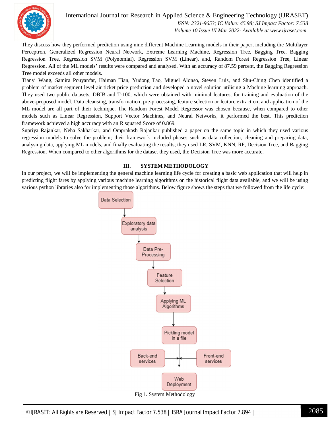

#### International Journal for Research in Applied Science & Engineering Technology (IJRASET**)**

 *ISSN: 2321-9653; IC Value: 45.98; SJ Impact Factor: 7.538 Volume 10 Issue III Mar 2022- Available at www.ijraset.com*

They discuss how they performed prediction using nine different Machine Learning models in their paper, including the Multilayer Perceptron, Generalized Regression Neural Network, Extreme Learning Machine, Regression Tree, Bagging Tree, Bagging Regression Tree, Regression SVM (Polynomial), Regression SVM (Linear), and, Random Forest Regression Tree, Linear Regression. All of the ML models' results were compared and analysed. With an accuracy of 87.59 percent, the Bagging Regression Tree model exceeds all other models.

Tianyi Wang, Samira Pouyanfar, Haiman Tian, Yudong Tao, Miguel Alonso, Steven Luis, and Shu-Ching Chen identified a problem of market segment level air ticket price prediction and developed a novel solution utilising a Machine learning approach. They used two public datasets, DBIB and T-100, which were obtained with minimal features, for training and evaluation of the above-proposed model. Data cleansing, transformation, pre-processing, feature selection or feature extraction, and application of the ML model are all part of their technique. The Random Forest Model Regressor was chosen because, when compared to other models such as Linear Regression, Support Vector Machines, and Neural Networks, it performed the best. This prediction framework achieved a high accuracy with an R squared Score of 0.869.

Supriya Rajankar, Neha Sakharkar, and Omprakash Rajankar published a paper on the same topic in which they used various regression models to solve the problem; their framework included phases such as data collection, cleaning and preparing data, analysing data, applying ML models, and finally evaluating the results; they used LR, SVM, KNN, RF, Decision Tree, and Bagging Regression. When compared to other algorithms for the dataset they used, the Decision Tree was more accurate.

#### **III. SYSTEM METHODOLOGY**

In our project, we will be implementing the general machine learning life cycle for creating a basic web application that will help in predicting flight fares by applying various machine learning algorithms on the historical flight data available, and we will be using various python libraries also for implementing those algorithms. Below figure shows the steps that we followed from the life cycle:

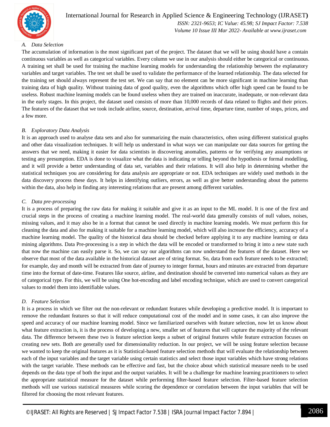

#### International Journal for Research in Applied Science & Engineering Technology (IJRASET**)**  *ISSN: 2321-9653; IC Value: 45.98; SJ Impact Factor: 7.538*

 *Volume 10 Issue III Mar 2022- Available at www.ijraset.com*

#### *A. Data Selection*

The accumulation of information is the most significant part of the project. The dataset that we will be using should have a contain continuous variables as well as categorical variables. Every column we use in our analysis should either be categorical or continuous. A training set shall be used for training the machine learning models for understanding the relationship between the explanatory variables and target variables. The test set shall be used to validate the performance of the learned relationship. The data selected for the training set should always represent the test set. We can say that no element can be more significant in machine learning than training data of high quality. Without training data of good quality, even the algorithms which offer high speed can be found to be useless. Robust machine learning models can be found useless when they are trained on inaccurate, inadequate, or non-relevant data in the early stages. In this project, the dataset used consists of more than 10,000 records of data related to flights and their prices. The features of the dataset that we took include airline, source, destination, arrival time, departure time, number of stops, prices, and a few more.

#### *B. Exploratory Data Analysis*

It is an approach used to analyse data sets and also for summarizing the main characteristics, often using different statistical graphs and other data visualization techniques. It will help us understand in what ways we can manipulate our data sources for getting the answers that we need, making it easier for data scientists in discovering anomalies, patterns or for verifying any assumptions or testing any presumption. EDA is done to visualize what the data is indicating or telling beyond the hypothesis or formal modelling, and it will provide a better understanding of data set, variables and their relations. It will also help in determining whether the statistical techniques you are considering for data analysis are appropriate or not. EDA techniques are widely used methods in the data discovery process these days. It helps in identifying outliers, errors, as well as give better understanding about the patterns within the data, also help in finding any interesting relations that are present among different variables.

#### *C. Data pre-processing*

It is a process of preparing the raw data for making it suitable and give it as an input to the ML model. It is one of the first and crucial steps in the process of creating a machine learning model. The real-world data generally consists of null values, noises, missing values, and it may also be in a format that cannot be used directly in machine learning models. We must perform this for cleaning the data and also for making it suitable for a machine learning model, which will also increase the efficiency, accuracy of a machine learning model. The quality of the historical data should be checked before applying it to any machine learning or data mining algorithms. Data Pre-processing is a step in which the data will be encoded or transformed to bring it into a new state such that now the machine can easily parse it. So, we can say our algorithms can now understand the features of the dataset. Here we observe that most of the data available in the historical dataset are of string format. So, data from each feature needs to be extracted; for example, day and month will be extracted from date of journey to integer format, hours and minutes are extracted from departure time into the format of date-time. Features like source, airline, and destination should be converted into numerical values as they are of categorical type. For this, we will be using One hot-encoding and label encoding technique, which are used to convert categorical values to model them into identifiable values.

#### *D. Feature Selection*

It is a process in which we filter out the non-relevant or redundant features while developing a predictive model. It is important to remove the redundant features so that it will reduce computational cost of the model and in some cases, it can also improve the speed and accuracy of our machine learning model. Since we familiarized ourselves with feature selection, now let us know about what feature extraction is, it is the process of developing a new, smaller set of features that will capture the majority of the relevant data. The difference between these two is feature selection keeps a subset of original features while feature extraction focuses on creating new sets. Both are generally used for dimensionality reduction. In our project, we will be using feature selection because we wanted to keep the original features as it is Statistical-based feature selection methods that will evaluate the relationship between each of the input variables and the target variable using certain statistics and select those input variables which have strong relations with the target variable. These methods can be effective and fast, but the choice about which statistical measure needs to be used depends on the data type of both the input and the output variables. It will be a challenge for machine learning practitioners to select the appropriate statistical measure for the dataset while performing filter-based feature selection. Filter-based feature selection methods will use various statistical measures while scoring the dependence or correlation between the input variables that will be filtered for choosing the most relevant features.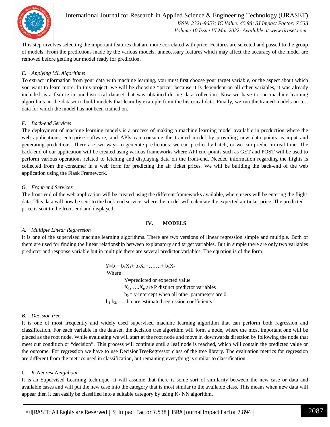

This step involves selecting the important features that are more correlated with price. Features are selected and passed to the group of models. From the predictions made by the various models, unnecessary features which may affect the accuracy of the model are removed before getting our model ready for prediction.

#### *E. Applying ML Algorithms*

To extract information from your data with machine learning, you must first choose your target variable, or the aspect about which you want to learn more. In this project, we will be choosing "price" because it is dependent on all other variables, it was already included as a feature in our historical dataset that was obtained during data collection. Now we have to run machine learning algorithms on the dataset to build models that learn by example from the historical data. Finally, we run the trained models on test data for which the model has not been trained on.

#### *F. Back-end Services*

The deployment of machine learning models is a process of making a machine learning model available in production where the web applications, enterprise software, and APIs can consume the trained model by providing new data points as input and generating predictions. There are two ways to generate predictions: we can predict by batch, or we can predict in real-time. The back-end of our application will be created using various frameworks where API end-points such as GET and POST will be used to perform various operations related to fetching and displaying data on the front-end. Needed information regarding the flights is collected from the consumer in a web form for predicting the air ticket prices. We will be building the back-end of the web application using the Flask Framework.

#### *G. Front-end Services*

The front-end of the web application will be created using the different frameworks available, where users will be entering the flight data. This data will now be sent to the back-end service, where the model will calculate the expected air ticket price. The predicted price is sent to the front-end and displayed.

#### **IV. MODELS**

#### *A. Multiple Linear Regression*

It is one of the supervised machine learning algorithms. There are two versions of linear regression simple and multiple. Both of them are used for finding the linear relationship between explanatory and target variables. But in simple there are only two variables predictor and response variable but in multiple there are several predictor variables. The equation is of the form:

> $Y=b_0+b_1X_1+b_2X_2+\ldots+A_pX_p$  Where Y=predicted or expected value  $X_1, \ldots, X_p$  are P distinct predictor variables

 $b_0$  = y-intercept when all other parameters are 0

 $b_1, b_2, \ldots$ , bp are estimated regression coefficients

#### *B. Decision tree*

It is one of most frequently and widely used supervised machine learning algorithm that can perform both regression and classification. For each variable in the dataset, the decision tree algorithm will form a node, where the most important one will be placed as the root node. While evaluating we will start at the root node and move in downwards direction by following the node that meet our condition or "decision". This process will continue until a leaf node is reached, which will contain the predicted value or the outcome. For regression we have to use DecisionTreeRegressor class of the tree library. The evaluation metrics for regression are different from the metrics used in classification, but remaining everything is similar to classification.

#### *C. K-Nearest Neighbour*

It is an Supervised Learning technique. It will assume that there is some sort of similarity between the new case or data and available cases and will put the new case into the category that is most similar to the available class. This means when new data will appear then it can easily be classified into a suitable category by using K- NN algorithm.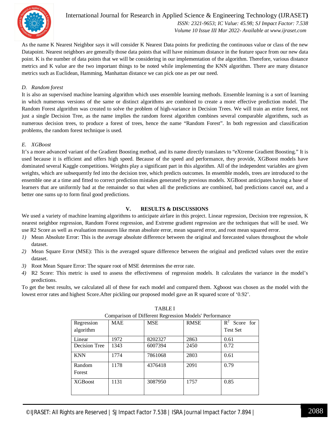

International Journal for Research in Applied Science & Engineering Technology (IJRASET**)**  *ISSN: 2321-9653; IC Value: 45.98; SJ Impact Factor: 7.538 Volume 10 Issue III Mar 2022- Available at www.ijraset.com*

As the name K Nearest Neighbor says it will consider K Nearest Data points for predicting the continuous value or class of the new Datapoint. Nearest neighbors are generally those data points that will have minimum distance in the feature space from our new data point. K is the number of data points that we will be considering in our implementation of the algorithm. Therefore, various distance metrics and K value are the two important things to be noted while implementing the KNN algorithm. There are many distance metrics such as Euclidean, Hamming, Manhattan distance we can pick one as per our need.

#### *D. Random forest*

It is also an supervised machine learning algorithm which uses ensemble learning methods. Ensemble learning is a sort of learning in which numerous versions of the same or distinct algorithms are combined to create a more effective prediction model. The Random Forest algorithm was created to solve the problem of high-variance in Decision Trees. We will train an entire forest, not just a single Decision Tree, as the name implies the random forest algorithm combines several comparable algorithms, such as numerous decision trees, to produce a forest of trees, hence the name "Random Forest". In both regression and classification problems, the random forest technique is used.

#### *E. XGBoost*

It's a more advanced variant of the Gradient Boosting method, and its name directly translates to "eXtreme Gradient Boosting." It is used because it is efficient and offers high speed. Because of the speed and performance, they provide, XGBoost models have dominated several Kaggle competitions. Weights play a significant part in this algorithm. All of the independent variables are given weights, which are subsequently fed into the decision tree, which predicts outcomes. In ensemble models, trees are introduced to the ensemble one at a time and fitted to correct prediction mistakes generated by previous models. XGBoost anticipates having a base of learners that are uniformly bad at the remainder so that when all the predictions are combined, bad predictions cancel out, and a better one sums up to form final good predictions.

#### **V. RESULTS & DISCUSSIONS**

We used a variety of machine learning algorithms to anticipate airfare in this project. Linear regression, Decision tree regression, K nearest neighbor regression, Random Forest regression, and Extreme gradient regression are the techniques that will be used. We use R2 Score as well as evaluation measures like mean absolute error, mean squared error, and root mean squared error.

- *1)* Mean Absolute Error: This is the average absolute difference between the original and forecasted values throughout the whole dataset.
- *2)* Mean Square Error (MSE): This is the averaged square difference between the original and predicted values over the entire dataset.
- *3)* Root Mean Square Error: The square root of MSE determines the error rate.
- *4)* R2 Score: This metric is used to assess the effectiveness of regression models. It calculates the variance in the model's predictions.

To get the best results, we calculated all of these for each model and compared them. Xgboost was chosen as the model with the lowest error rates and highest Score.After pickling our proposed model gave an R squared score of '0.92'.

| Comparison of Different Regression Models' Performance |            |            |             |                 |
|--------------------------------------------------------|------------|------------|-------------|-----------------|
| Regression                                             | <b>MAE</b> | <b>MSE</b> | <b>RMSE</b> | $R^2$ Score for |
| algorithm                                              |            |            |             | <b>Test Set</b> |
| Linear                                                 | 1972       | 8202327    | 2863        | 0.61            |
| Decision Tree                                          | 1343       | 6007394    | 2450        | 0.72            |
| <b>KNN</b>                                             | 1774       | 7861068    | 2803        | 0.61            |
| Random                                                 | 1178       | 4376418    | 2091        | 0.79            |
| Forest                                                 |            |            |             |                 |
| <b>XGB</b> oost                                        | 1131       | 3087950    | 1757        | 0.85            |
|                                                        |            |            |             |                 |

TABLE I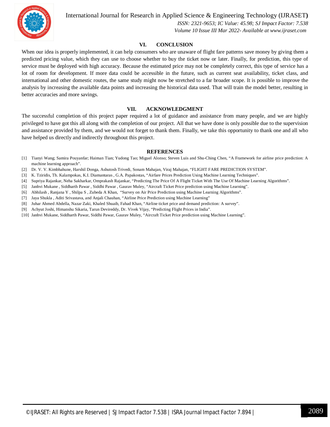

International Journal for Research in Applied Science & Engineering Technology (IJRASET**)**

 *ISSN: 2321-9653; IC Value: 45.98; SJ Impact Factor: 7.538 Volume 10 Issue III Mar 2022- Available at www.ijraset.com*

#### **VI. CONCLUSION**

When our idea is properly implemented, it can help consumers who are unaware of flight fare patterns save money by giving them a predicted pricing value, which they can use to choose whether to buy the ticket now or later. Finally, for prediction, this type of service must be deployed with high accuracy. Because the estimated price may not be completely correct, this type of service has a lot of room for development. If more data could be accessible in the future, such as current seat availability, ticket class, and international and other domestic routes, the same study might now be stretched to a far broader scope. It is possible to improve the analysis by increasing the available data points and increasing the historical data used. That will train the model better, resulting in better accuracies and more savings.

#### **VII. ACKNOWLEDGMENT**

The successful completion of this project paper required a lot of guidance and assistance from many people, and we are highly privileged to have got this all along with the completion of our project. All that we have done is only possible due to the supervision and assistance provided by them, and we would not forget to thank them. Finally, we take this opportunity to thank one and all who have helped us directly and indirectly throughout this project.

#### **REFERENCES**

- [1] Tianyi Wang; Samira Pouyanfar; Haiman Tian; Yudong Tao; Miguel Alonso; Steven Luis and Shu-Ching Chen, "A Framework for airline price prediction: A machine learning approach".
- [2] Dr. V. V. Kimbhahune, Harshil Donga, Ashutosh Trivedi, Sonam Mahajan, Viraj Mahajan, "FLIGHT FARE PREDICTION SYSTEM".
- [3] K. Tziridis, Th. Kalampokas, K.I. Diamantaras , G.A. Papakostas, "Airfare Prices Prediction Using Machine Learning Techniques".
- [4] Supriya Rajankar, Neha Sakharkar, Omprakash Rajankar, "Predicting The Price Of A Flight Ticket With The Use Of Machine Learning Algorithms".
- [5] Janhvi Mukane , Siddharth Pawar , Siddhi Pawar , Gaurav Muley, "Aircraft Ticket Price prediction using Machine Learning".
- [6] Abhilash , Ranjana Y , Shilpa S , Zubeda A Khan, "Survey on Air Price Prediction using Machine Learning Algorithms".
- [7] Jaya Shukla , Aditi Srivastava, and Anjali Chauhan, "Airline Price Prediction using Machine Learning"
- [8] Juhar Ahmed Abdella, Nazar Zaki, Khaled Shuaib, Fahad Khan, "Airline ticket price and demand prediction: A survey".
- [9] Achyut Joshi, Himanshu Sikaria, Tarun Devireddy, Dr. Vivek Vijay, "Predicting Flight Prices in India".
- [10] Janhvi Mukane, Siddharth Pawar, Siddhi Pawar, Gaurav Muley, "Aircraft Ticket Price prediction using Machine Learning".